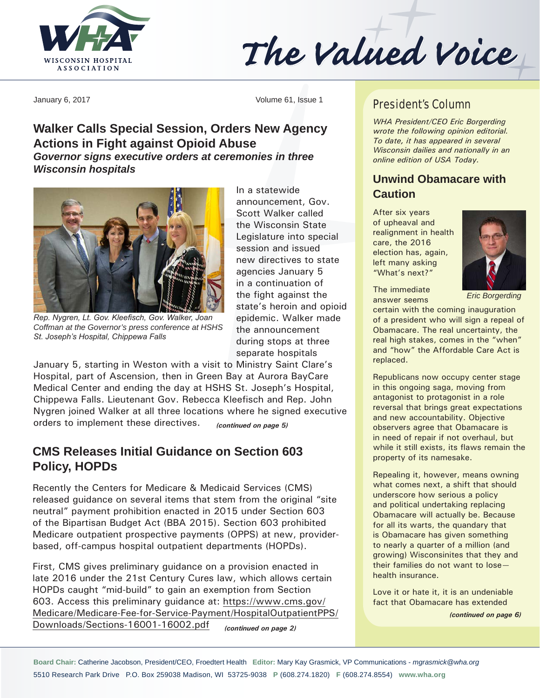

The Valued Voice

January 6, 2017 Volume 61, Issue 1

## **Walker Calls Special Session, Orders New Agency Actions in Fight against Opioid Abuse**  *Governor signs executive orders at ceremonies in three Wisconsin hospitals*



*Rep. Nygren, Lt. Gov. Kleefisch, Gov. Walker, Joan Coffman at the Governor's press conference at HSHS St. Joseph's Hospital, Chippewa Falls*

In a statewide announcement, Gov. Scott Walker called the Wisconsin State Legislature into special session and issued new directives to state agencies January 5 in a continuation of the fight against the state's heroin and opioid epidemic. Walker made the announcement during stops at three separate hospitals

January 5, starting in Weston with a visit to Ministry Saint Clare's Hospital, part of Ascension, then in Green Bay at Aurora BayCare Medical Center and ending the day at HSHS St. Joseph's Hospital, Chippewa Falls. Lieutenant Gov. Rebecca Kleefisch and Rep. John Nygren joined Walker at all three locations where he signed executive orders to implement these directives. *(continued on page 5)*

## **CMS Releases Initial Guidance on Section 603 Policy, HOPDs**

Recently the Centers for Medicare & Medicaid Services (CMS) released guidance on several items that stem from the original "site neutral" payment prohibition enacted in 2015 under Section 603 of the Bipartisan Budget Act (BBA 2015). Section 603 prohibited Medicare outpatient prospective payments (OPPS) at new, providerbased, off-campus hospital outpatient departments (HOPDs).

First, CMS gives preliminary guidance on a provision enacted in late 2016 under the 21st Century Cures law, which allows certain HOPDs caught "mid-build" to gain an exemption from Section 603. Access this preliminary guidance at: [https://www.cms.gov/](https://www.cms.gov/Medicare/Medicare-Fee-for-Service-Payment/HospitalOutpatientPPS/Downloads/Sections-16001-16002.pdf) [Medicare/Medicare-Fee-for-Service-Payment/HospitalOutpatientPPS/](https://www.cms.gov/Medicare/Medicare-Fee-for-Service-Payment/HospitalOutpatientPPS/Downloads/Sections-16001-16002.pdf) [Downloads/Sections-16001-16002.pdf](https://www.cms.gov/Medicare/Medicare-Fee-for-Service-Payment/HospitalOutpatientPPS/Downloads/Sections-16001-16002.pdf) *(continued on page 2)*

#### President's Column

*WHA President/CEO Eric Borgerding wrote the following opinion editorial. To date, it has appeared in several Wisconsin dailies and nationally in an online edition of USA Today.*

## **Unwind Obamacare with Caution**

After six years of upheaval and realignment in health care, the 2016 election has, again, left many asking "What's next?"

The immediate answer seems



*Eric Borgerding*

certain with the coming inauguration of a president who will sign a repeal of Obamacare. The real uncertainty, the real high stakes, comes in the "when" and "how" the Affordable Care Act is replaced.

Republicans now occupy center stage in this ongoing saga, moving from antagonist to protagonist in a role reversal that brings great expectations and new accountability. Objective observers agree that Obamacare is in need of repair if not overhaul, but while it still exists, its flaws remain the property of its namesake.

Repealing it, however, means owning what comes next, a shift that should underscore how serious a policy and political undertaking replacing Obamacare will actually be. Because for all its warts, the quandary that is Obamacare has given something to nearly a quarter of a million (and growing) Wisconsinites that they and their families do not want to lose health insurance.

Love it or hate it, it is an undeniable fact that Obamacare has extended

*(continued on page 6)*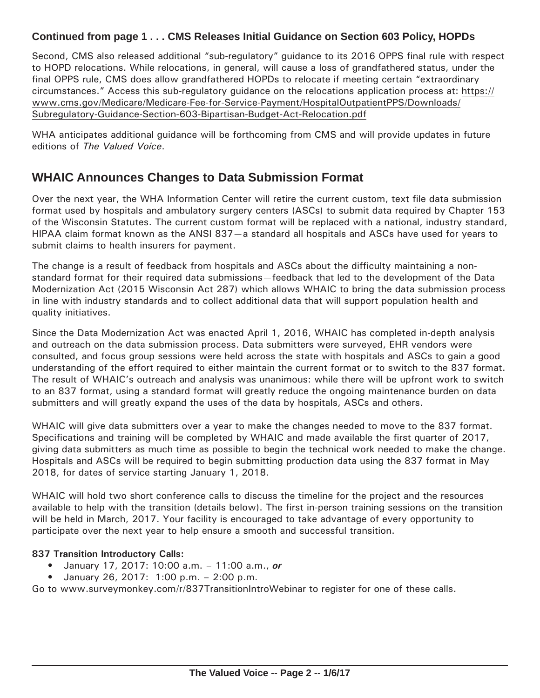### **Continued from page 1 . . . CMS Releases Initial Guidance on Section 603 Policy, HOPDs**

Second, CMS also released additional "sub-regulatory" guidance to its 2016 OPPS final rule with respect to HOPD relocations. While relocations, in general, will cause a loss of grandfathered status, under the final OPPS rule, CMS does allow grandfathered HOPDs to relocate if meeting certain "extraordinary circumstances." Access this sub-regulatory guidance on the relocations application process at: [https://](https://www.cms.gov/Medicare/Medicare-Fee-for-Service-Payment/HospitalOutpatientPPS/Downloads/Subregulatory-Guidance-Section-603-Bipartisan-Budget-Act-Relocation.pdf) [www.cms.gov/Medicare/Medicare-Fee-for-Service-Payment/HospitalOutpatientPPS/Downloads/](https://www.cms.gov/Medicare/Medicare-Fee-for-Service-Payment/HospitalOutpatientPPS/Downloads/Subregulatory-Guidance-Section-603-Bipartisan-Budget-Act-Relocation.pdf) [Subregulatory-Guidance-Section-603-Bipartisan-Budget-Act-Relocation.pdf](https://www.cms.gov/Medicare/Medicare-Fee-for-Service-Payment/HospitalOutpatientPPS/Downloads/Subregulatory-Guidance-Section-603-Bipartisan-Budget-Act-Relocation.pdf)

WHA anticipates additional guidance will be forthcoming from CMS and will provide updates in future editions of *The Valued Voice*.

# **WHAIC Announces Changes to Data Submission Format**

Over the next year, the WHA Information Center will retire the current custom, text file data submission format used by hospitals and ambulatory surgery centers (ASCs) to submit data required by Chapter 153 of the Wisconsin Statutes. The current custom format will be replaced with a national, industry standard, HIPAA claim format known as the ANSI 837—a standard all hospitals and ASCs have used for years to submit claims to health insurers for payment.

The change is a result of feedback from hospitals and ASCs about the difficulty maintaining a nonstandard format for their required data submissions—feedback that led to the development of the Data Modernization Act (2015 Wisconsin Act 287) which allows WHAIC to bring the data submission process in line with industry standards and to collect additional data that will support population health and quality initiatives.

Since the Data Modernization Act was enacted April 1, 2016, WHAIC has completed in-depth analysis and outreach on the data submission process. Data submitters were surveyed, EHR vendors were consulted, and focus group sessions were held across the state with hospitals and ASCs to gain a good understanding of the effort required to either maintain the current format or to switch to the 837 format. The result of WHAIC's outreach and analysis was unanimous: while there will be upfront work to switch to an 837 format, using a standard format will greatly reduce the ongoing maintenance burden on data submitters and will greatly expand the uses of the data by hospitals, ASCs and others.

WHAIC will give data submitters over a year to make the changes needed to move to the 837 format. Specifications and training will be completed by WHAIC and made available the first quarter of 2017, giving data submitters as much time as possible to begin the technical work needed to make the change. Hospitals and ASCs will be required to begin submitting production data using the 837 format in May 2018, for dates of service starting January 1, 2018.

WHAIC will hold two short conference calls to discuss the timeline for the project and the resources available to help with the transition (details below). The first in-person training sessions on the transition will be held in March, 2017. Your facility is encouraged to take advantage of every opportunity to participate over the next year to help ensure a smooth and successful transition.

#### **837 Transition Introductory Calls:**

- January 17, 2017: 10:00 a.m. 11:00 a.m., *or*
- January 26, 2017: 1:00 p.m. 2:00 p.m.

Go to [www.surveymonkey.com/](http://www.surveymonkey.com/r/837TransitionIntroWebinar)r/837TransitionIntroWebinar to register for one of these calls.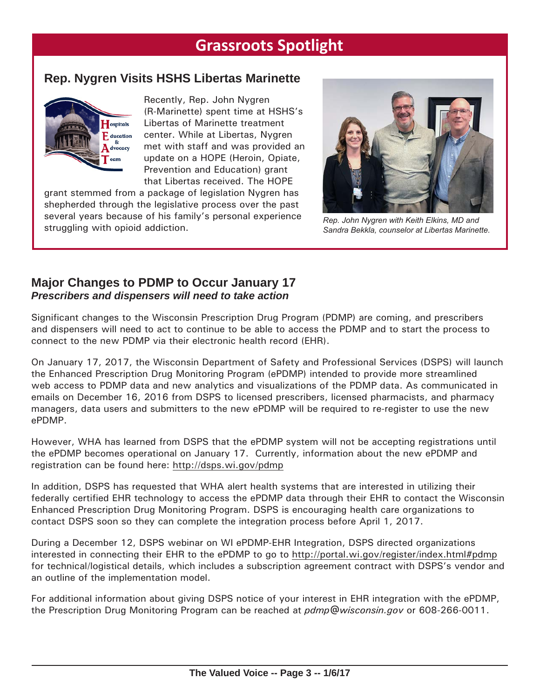# **Grassroots Spotlight**

# **Rep. Nygren Visits HSHS Libertas Marinette**



Recently, Rep. John Nygren (R-Marinette) spent time at HSHS's Libertas of Marinette treatment center. While at Libertas, Nygren met with staff and was provided an update on a HOPE (Heroin, Opiate, Prevention and Education) grant that Libertas received. The HOPE

grant stemmed from a package of legislation Nygren has shepherded through the legislative process over the past several years because of his family's personal experience struggling with opioid addiction.



*Rep. John Nygren with Keith Elkins, MD and Sandra Bekkla, counselor at Libertas Marinette.*

### **Major Changes to PDMP to Occur January 17** *Prescribers and dispensers will need to take action*

Significant changes to the Wisconsin Prescription Drug Program (PDMP) are coming, and prescribers and dispensers will need to act to continue to be able to access the PDMP and to start the process to connect to the new PDMP via their electronic health record (EHR).

On January 17, 2017, the Wisconsin Department of Safety and Professional Services (DSPS) will launch the Enhanced Prescription Drug Monitoring Program (ePDMP) intended to provide more streamlined web access to PDMP data and new analytics and visualizations of the PDMP data. As communicated in emails on December 16, 2016 from DSPS to licensed prescribers, licensed pharmacists, and pharmacy managers, data users and submitters to the new ePDMP will be required to re-register to use the new ePDMP.

However, WHA has learned from DSPS that the ePDMP system will not be accepting registrations until the ePDMP becomes operational on January 17. Currently, information about the new ePDMP and registration can be found here:<http://dsps.wi.gov/pdmp>

In addition, DSPS has requested that WHA alert health systems that are interested in utilizing their federally certified EHR technology to access the ePDMP data through their EHR to contact the Wisconsin Enhanced Prescription Drug Monitoring Program. DSPS is encouraging health care organizations to contact DSPS soon so they can complete the integration process before April 1, 2017.

During a December 12, DSPS webinar on WI ePDMP-EHR Integration, DSPS directed organizations interested in connecting their EHR to the ePDMP to go to [http://portal.wi.gov/register/index.html#](http://portal.wi.gov/register/index.html#pdmp)pdmp for technical/logistical details, which includes a subscription agreement contract with DSPS's vendor and an outline of the implementation model.

For additional information about giving DSPS notice of your interest in EHR integration with the ePDMP, the Prescription Drug Monitoring Program can be reached at *[pdmp@wisconsin.gov](mailto:pdmp@wisconsin.gov)* or 608-266-0011.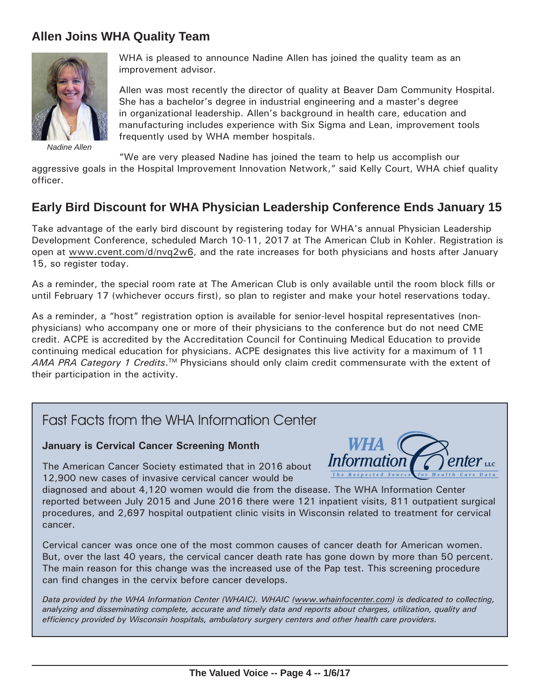## **Allen Joins WHA Quality Team**



*Nadine Allen*

WHA is pleased to announce Nadine Allen has joined the quality team as an improvement advisor.

Allen was most recently the director of quality at Beaver Dam Community Hospital. She has a bachelor's degree in industrial engineering and a master's degree in organizational leadership. Allen's background in health care, education and manufacturing includes experience with Six Sigma and Lean, improvement tools frequently used by WHA member hospitals.

"We are very pleased Nadine has joined the team to help us accomplish our

aggressive goals in the Hospital Improvement Innovation Network," said Kelly Court, WHA chief quality officer.

# **Early Bird Discount for WHA Physician Leadership Conference Ends January 15**

Take advantage of the early bird discount by registering today for WHA's annual Physician Leadership Development Conference, scheduled March 10-11, 2017 at The American Club in Kohler. Registration is open at [www.cvent.com/d/nvq](http://www.cvent.com/d/nvq2w6)2w6, and the rate increases for both physicians and hosts after January 15, so register today.

As a reminder, the special room rate at The American Club is only available until the room block fills or until February 17 (whichever occurs first), so plan to register and make your hotel reservations today.

As a reminder, a "host" registration option is available for senior-level hospital representatives (nonphysicians) who accompany one or more of their physicians to the conference but do not need CME credit. ACPE is accredited by the Accreditation Council for Continuing Medical Education to provide continuing medical education for physicians. ACPE designates this live activity for a maximum of 11 AMA PRA Category 1 Credits.<sup>™</sup> Physicians should only claim credit commensurate with the extent of their participation in the activity.

# Fast Facts from the WHA Information Center

#### **January is Cervical Cancer Screening Month**

The American Cancer Society estimated that in 2016 about 12,900 new cases of invasive cervical cancer would be



diagnosed and about 4,120 women would die from the disease. The WHA Information Center reported between July 2015 and June 2016 there were 121 inpatient visits, 811 outpatient surgical procedures, and 2,697 hospital outpatient clinic visits in Wisconsin related to treatment for cervical cancer.

Cervical cancer was once one of the most common causes of cancer death for American women. But, over the last 40 years, the cervical cancer death rate has gone down by more than 50 percent. The main reason for this change was the increased use of the Pap test. This screening procedure can find changes in the cervix before cancer develops.

*Data provided by the WHA Information Center (WHAIC). WHAIC [\(www.whainfocenter.com\)](http://www.whainfocenter.com) is dedicated to collecting, analyzing and disseminating complete, accurate and timely data and reports about charges, utilization, quality and efficiency provided by Wisconsin hospitals, ambulatory surgery centers and other health care providers.*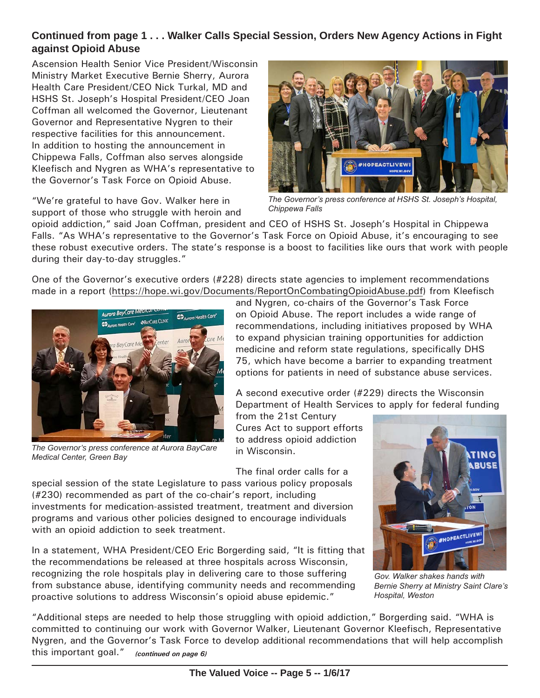### **Continued from page 1 . . . Walker Calls Special Session, Orders New Agency Actions in Fight against Opioid Abuse**

Ascension Health Senior Vice President/Wisconsin Ministry Market Executive Bernie Sherry, Aurora Health Care President/CEO Nick Turkal, MD and HSHS St. Joseph's Hospital President/CEO Joan Coffman all welcomed the Governor, Lieutenant Governor and Representative Nygren to their respective facilities for this announcement. In addition to hosting the announcement in Chippewa Falls, Coffman also serves alongside Kleefisch and Nygren as WHA's representative to the Governor's Task Force on Opioid Abuse.

"We're grateful to have Gov. Walker here in support of those who struggle with heroin and



*The Governor's press conference at HSHS St. Joseph's Hospital, Chippewa Falls*

opioid addiction," said Joan Coffman, president and CEO of HSHS St. Joseph's Hospital in Chippewa Falls. "As WHA's representative to the Governor's Task Force on Opioid Abuse, it's encouraging to see these robust executive orders. The state's response is a boost to facilities like ours that work with people during their day-to-day struggles."

One of the Governor's executive orders (#228) directs state agencies to implement recommendations made in a report ([https://hope.wi.gov/Documents/ReportOnCombatingOpioidAbuse.pdf\)](https://hope.wi.gov/Documents/ReportOnCombatingOpioidAbuse.pdf) from Kleefisch



*The Governor's press conference at Aurora BayCare Medical Center, Green Bay*

and Nygren, co-chairs of the Governor's Task Force on Opioid Abuse. The report includes a wide range of recommendations, including initiatives proposed by WHA to expand physician training opportunities for addiction medicine and reform state regulations, specifically DHS 75, which have become a barrier to expanding treatment options for patients in need of substance abuse services.

A second executive order (#229) directs the Wisconsin Department of Health Services to apply for federal funding

from the 21st Century Cures Act to support efforts to address opioid addiction in Wisconsin.

The final order calls for a

special session of the state Legislature to pass various policy proposals (#230) recommended as part of the co-chair's report, including investments for medication-assisted treatment, treatment and diversion programs and various other policies designed to encourage individuals with an opioid addiction to seek treatment.

In a statement, WHA President/CEO Eric Borgerding said, "It is fitting that the recommendations be released at three hospitals across Wisconsin, recognizing the role hospitals play in delivering care to those suffering from substance abuse, identifying community needs and recommending proactive solutions to address Wisconsin's opioid abuse epidemic."



*Gov. Walker shakes hands with Bernie Sherry at Ministry Saint Clare's Hospital, Weston*

"Additional steps are needed to help those struggling with opioid addiction," Borgerding said. "WHA is committed to continuing our work with Governor Walker, Lieutenant Governor Kleefisch, Representative Nygren, and the Governor's Task Force to develop additional recommendations that will help accomplish this important goal." *(continued on page 6)*